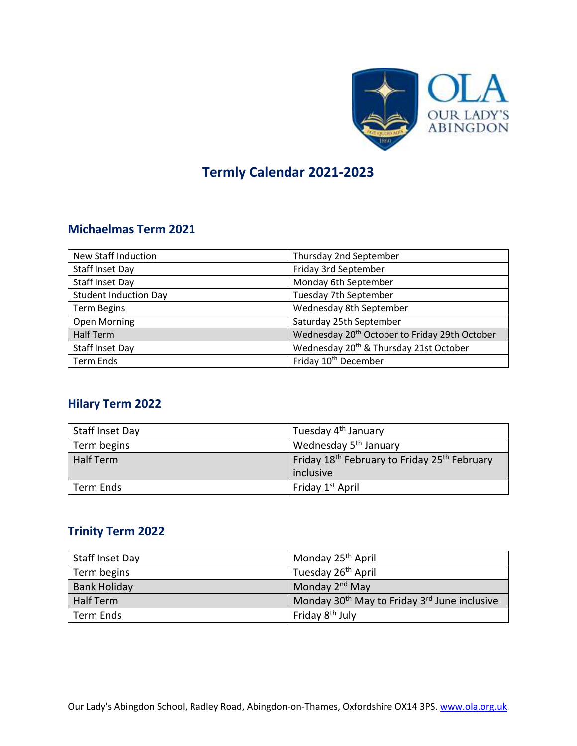

# **Termly Calendar 2021-2023**

#### **Michaelmas Term 2021**

| <b>New Staff Induction</b>   | Thursday 2nd September                                    |
|------------------------------|-----------------------------------------------------------|
| <b>Staff Inset Day</b>       | Friday 3rd September                                      |
| <b>Staff Inset Day</b>       | Monday 6th September                                      |
| <b>Student Induction Day</b> | Tuesday 7th September                                     |
| <b>Term Begins</b>           | Wednesday 8th September                                   |
| <b>Open Morning</b>          | Saturday 25th September                                   |
| <b>Half Term</b>             | Wednesday 20 <sup>th</sup> October to Friday 29th October |
| Staff Inset Day              | Wednesday 20 <sup>th</sup> & Thursday 21st October        |
| <b>Term Ends</b>             | Friday 10 <sup>th</sup> December                          |

#### **Hilary Term 2022**

| Staff Inset Day  | Tuesday 4 <sup>th</sup> January                                      |
|------------------|----------------------------------------------------------------------|
| Term begins      | Wednesday 5 <sup>th</sup> January                                    |
| <b>Half Term</b> | Friday 18 <sup>th</sup> February to Friday 25 <sup>th</sup> February |
|                  | inclusive                                                            |
| Term Ends        | Friday 1 <sup>st</sup> April                                         |

#### **Trinity Term 2022**

| Staff Inset Day  | Monday 25 <sup>th</sup> April                                        |
|------------------|----------------------------------------------------------------------|
| Term begins      | Tuesday 26 <sup>th</sup> April                                       |
| Bank Holiday     | Monday 2 <sup>nd</sup> May                                           |
| <b>Half Term</b> | Monday 30 <sup>th</sup> May to Friday 3 <sup>rd</sup> June inclusive |
| Term Ends        | Friday 8 <sup>th</sup> July                                          |